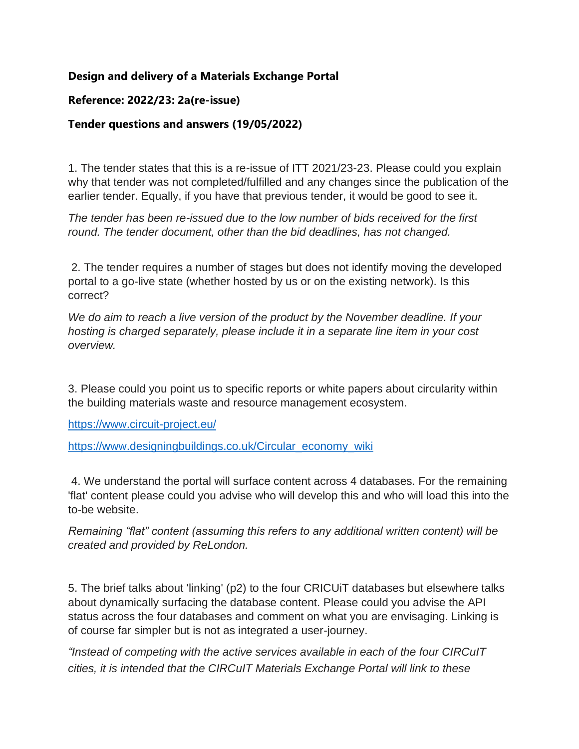## **Design and delivery of a Materials Exchange Portal**

## **Reference: 2022/23: 2a(re-issue)**

## **Tender questions and answers (19/05/2022)**

1. The tender states that this is a re-issue of ITT 2021/23-23. Please could you explain why that tender was not completed/fulfilled and any changes since the publication of the earlier tender. Equally, if you have that previous tender, it would be good to see it.

*The tender has been re-issued due to the low number of bids received for the first round. The tender document, other than the bid deadlines, has not changed.*

2. The tender requires a number of stages but does not identify moving the developed portal to a go-live state (whether hosted by us or on the existing network). Is this correct?

*We do aim to reach a live version of the product by the November deadline. If your hosting is charged separately, please include it in a separate line item in your cost overview.*

3. Please could you point us to specific reports or white papers about circularity within the building materials waste and resource management ecosystem.

<https://www.circuit-project.eu/>

[https://www.designingbuildings.co.uk/Circular\\_economy\\_wiki](https://www.designingbuildings.co.uk/Circular_economy_wiki)

4. We understand the portal will surface content across 4 databases. For the remaining 'flat' content please could you advise who will develop this and who will load this into the to-be website.

*Remaining "flat" content (assuming this refers to any additional written content) will be created and provided by ReLondon.*

5. The brief talks about 'linking' (p2) to the four CRICUiT databases but elsewhere talks about dynamically surfacing the database content. Please could you advise the API status across the four databases and comment on what you are envisaging. Linking is of course far simpler but is not as integrated a user-journey.

*"Instead of competing with the active services available in each of the four CIRCuIT cities, it is intended that the CIRCuIT Materials Exchange Portal will link to these*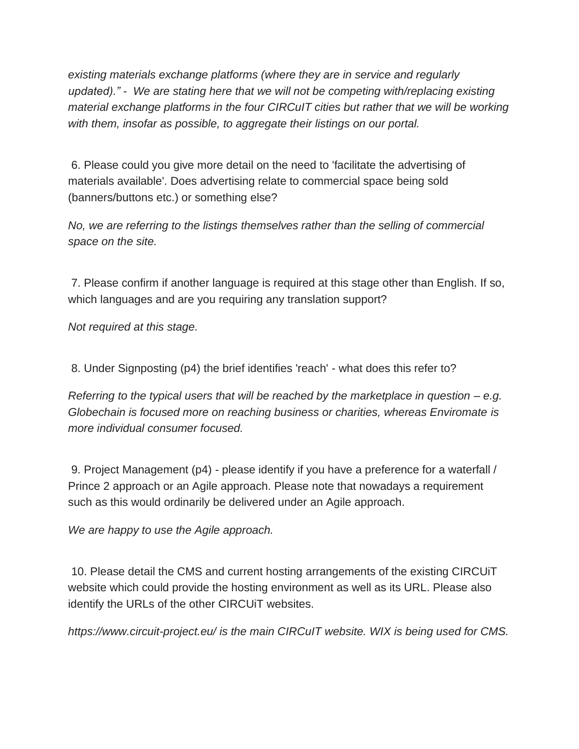*existing materials exchange platforms (where they are in service and regularly updated)." - We are stating here that we will not be competing with/replacing existing material exchange platforms in the four CIRCuIT cities but rather that we will be working with them, insofar as possible, to aggregate their listings on our portal.*

6. Please could you give more detail on the need to 'facilitate the advertising of materials available'. Does advertising relate to commercial space being sold (banners/buttons etc.) or something else?

*No, we are referring to the listings themselves rather than the selling of commercial space on the site.*

7. Please confirm if another language is required at this stage other than English. If so, which languages and are you requiring any translation support?

*Not required at this stage.*

8. Under Signposting (p4) the brief identifies 'reach' - what does this refer to?

*Referring to the typical users that will be reached by the marketplace in question – e.g. Globechain is focused more on reaching business or charities, whereas Enviromate is more individual consumer focused.*

9. Project Management (p4) - please identify if you have a preference for a waterfall / Prince 2 approach or an Agile approach. Please note that nowadays a requirement such as this would ordinarily be delivered under an Agile approach.

*We are happy to use the Agile approach.*

10. Please detail the CMS and current hosting arrangements of the existing CIRCUiT website which could provide the hosting environment as well as its URL. Please also identify the URLs of the other CIRCUiT websites.

*<https://www.circuit-project.eu/> is the main CIRCuIT website. WIX is being used for CMS.*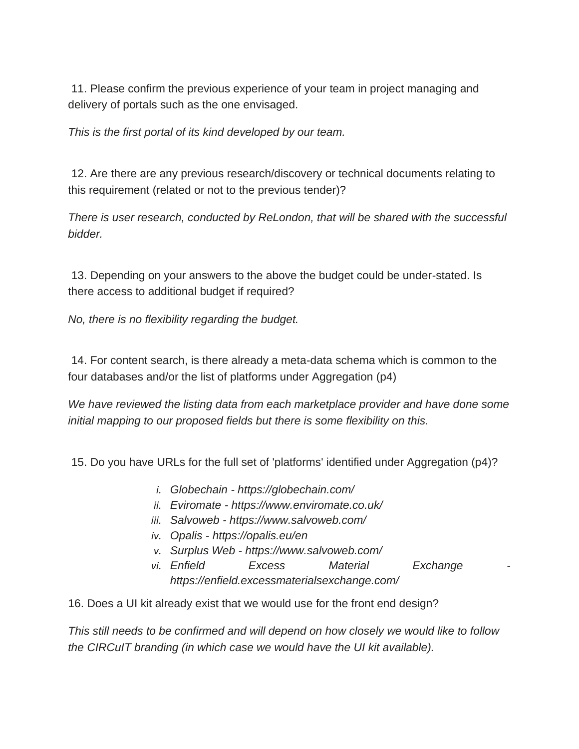11. Please confirm the previous experience of your team in project managing and delivery of portals such as the one envisaged.

*This is the first portal of its kind developed by our team.*

12. Are there are any previous research/discovery or technical documents relating to this requirement (related or not to the previous tender)?

*There is user research, conducted by ReLondon, that will be shared with the successful bidder.*

13. Depending on your answers to the above the budget could be under-stated. Is there access to additional budget if required?

*No, there is no flexibility regarding the budget.*

14. For content search, is there already a meta-data schema which is common to the four databases and/or the list of platforms under Aggregation (p4)

We have reviewed the listing data from each marketplace provider and have done some *initial mapping to our proposed fields but there is some flexibility on this.*

15. Do you have URLs for the full set of 'platforms' identified under Aggregation (p4)?

- *i. Globechain - https://globechain.com/*
- *ii. Eviromate - https://www.enviromate.co.uk/*
- *iii. Salvoweb - https://www.salvoweb.com/*
- *iv. Opalis - https://opalis.eu/en*
- *v. Surplus Web - https://www.salvoweb.com/*
- *vi. Enfield* **Excess** Material **Exchange** *<https://enfield.excessmaterialsexchange.com/>*

16. Does a UI kit already exist that we would use for the front end design?

*This still needs to be confirmed and will depend on how closely we would like to follow the CIRCuIT branding (in which case we would have the UI kit available).*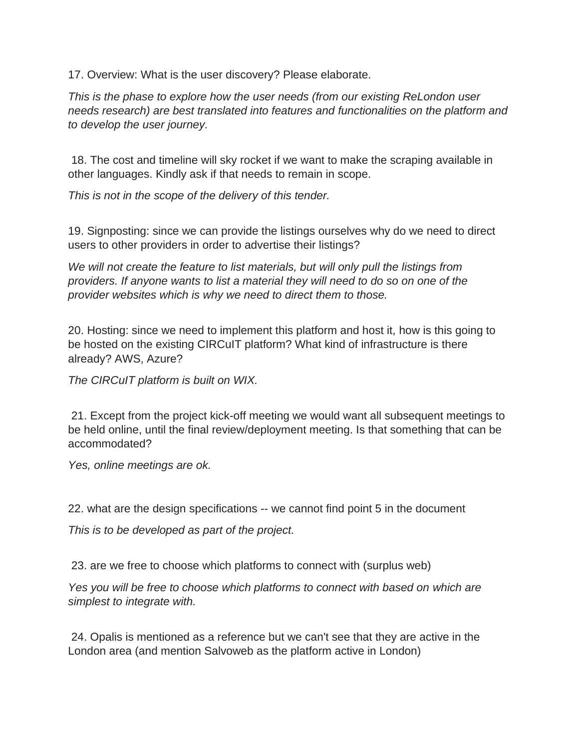17. Overview: What is the user discovery? Please elaborate.

*This is the phase to explore how the user needs (from our existing ReLondon user needs research) are best translated into features and functionalities on the platform and to develop the user journey.*

18. The cost and timeline will sky rocket if we want to make the scraping available in other languages. Kindly ask if that needs to remain in scope.

*This is not in the scope of the delivery of this tender.*

19. Signposting: since we can provide the listings ourselves why do we need to direct users to other providers in order to advertise their listings?

*We will not create the feature to list materials, but will only pull the listings from providers. If anyone wants to list a material they will need to do so on one of the provider websites which is why we need to direct them to those.*

20. Hosting: since we need to implement this platform and host it, how is this going to be hosted on the existing CIRCuIT platform? What kind of infrastructure is there already? AWS, Azure?

*The CIRCuIT platform is built on WIX.* 

21. Except from the project kick-off meeting we would want all subsequent meetings to be held online, until the final review/deployment meeting. Is that something that can be accommodated?

*Yes, online meetings are ok.*

22. what are the design specifications -- we cannot find point 5 in the document

*This is to be developed as part of the project.*

23. are we free to choose which platforms to connect with (surplus web)

*Yes you will be free to choose which platforms to connect with based on which are simplest to integrate with.*

24. Opalis is mentioned as a reference but we can't see that they are active in the London area (and mention Salvoweb as the platform active in London)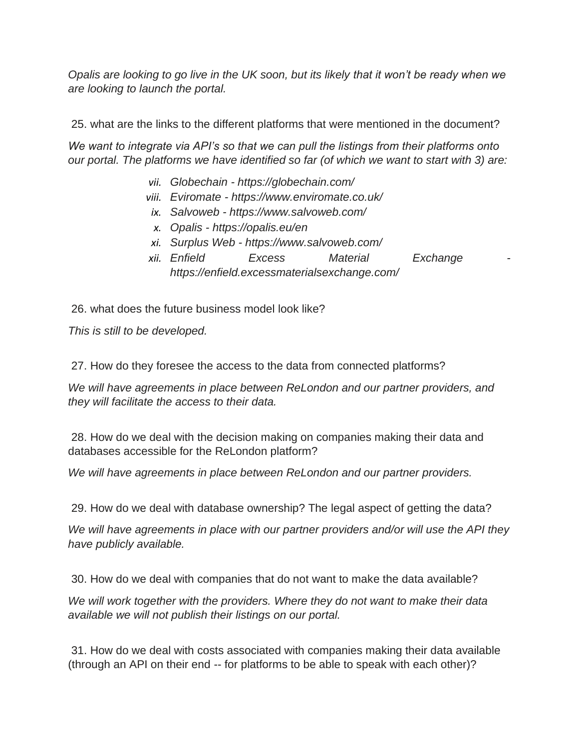*Opalis are looking to go live in the UK soon, but its likely that it won't be ready when we are looking to launch the portal.* 

25. what are the links to the different platforms that were mentioned in the document?

*We want to integrate via API's so that we can pull the listings from their platforms onto our portal. The platforms we have identified so far (of which we want to start with 3) are:*

- *vii. Globechain - https://globechain.com/*
- *viii. Eviromate - https://www.enviromate.co.uk/*
- *ix. Salvoweb - https://www.salvoweb.com/*
- *x. Opalis - https://opalis.eu/en*
- *xi. Surplus Web - https://www.salvoweb.com/*
- *xii. Enfield Excess Material Exchange <https://enfield.excessmaterialsexchange.com/>*

26. what does the future business model look like?

*This is still to be developed.*

27. How do they foresee the access to the data from connected platforms?

We will have agreements in place between ReLondon and our partner providers, and *they will facilitate the access to their data.*

28. How do we deal with the decision making on companies making their data and databases accessible for the ReLondon platform?

*We will have agreements in place between ReLondon and our partner providers.*

29. How do we deal with database ownership? The legal aspect of getting the data?

*We will have agreements in place with our partner providers and/or will use the API they have publicly available.*

30. How do we deal with companies that do not want to make the data available?

We will work together with the providers. Where they do not want to make their data *available we will not publish their listings on our portal.*

31. How do we deal with costs associated with companies making their data available (through an API on their end -- for platforms to be able to speak with each other)?